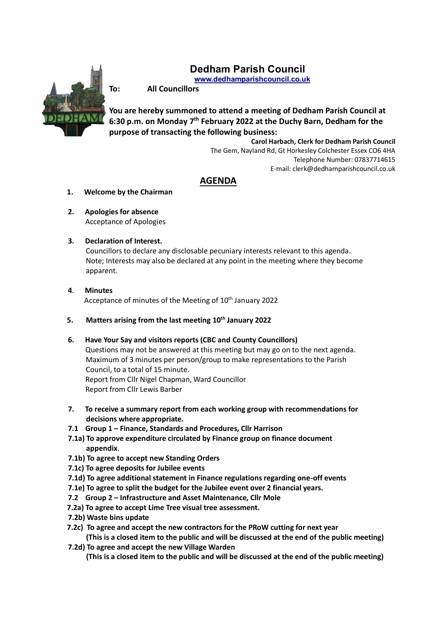# **Dedham Parish Council**

**www.dedhamparishcouncil.co.uk**



**To: All Councillors**

**You are hereby summoned to attend a meeting of Dedham Parish Council at 6:30 p.m. on Monday 7 th February 2022 at the Duchy Barn, Dedham for the purpose of transacting the following business:**

> **Carol Harbach, Clerk for Dedham Parish Council** The Gem, Nayland Rd, Gt Horkesley Colchester Essex CO6 4HA Telephone Number: 07837714615 E-mail: clerk@dedhamparishcouncil.co.uk

## **AGENDA**

- **1. Welcome by the Chairman**
- **2. Apologies for absence** Acceptance of Apologies
- **3. Declaration of Interest.**

 Councillors to declare any disclosable pecuniary interests relevant to this agenda. Note; Interests may also be declared at any point in the meeting where they become apparent.

- **4**. **Minutes** Acceptance of minutes of the Meeting of 10<sup>th</sup> January 2022
- **5. Matters arising from the last meeting 10th January 2022**
- **6. Have Your Say and visitors reports (CBC and County Councillors)** Questions may not be answered at this meeting but may go on to the next agenda. Maximum of 3 minutes per person/group to make representations to the Parish Council, to a total of 15 minute. Report from Cllr Nigel Chapman, Ward Councillor Report from Cllr Lewis Barber
- **7. To receive a summary report from each working group with recommendations for decisions where appropriate.**
- **7.1 Group 1 – Finance, Standards and Procedures, Cllr Harrison**
- **7.1a) To approve expenditure circulated by Finance group on finance document appendix**.
- **7.1b) To agree to accept new Standing Orders**
- **7.1c) To agree deposits for Jubilee events**
- **7.1d) To agree additional statement in Finance regulations regarding one-off events**
- **7.1e) To agree to split the budget for the Jubilee event over 2 financial years.**
- **7.2 Group 2 – Infrastructure and Asset Maintenance, Cllr Mole**
- **7.2a) To agree to accept Lime Tree visual tree assessment.**
- **7.2b) Waste bins update**
- **7.2c) To agree and accept the new contractors for the PRoW cutting for next year (This is a closed item to the public and will be discussed at the end of the public meeting)**
- **7.2d) To agree and accept the new Village Warden (This is a closed item to the public and will be discussed at the end of the public meeting)**